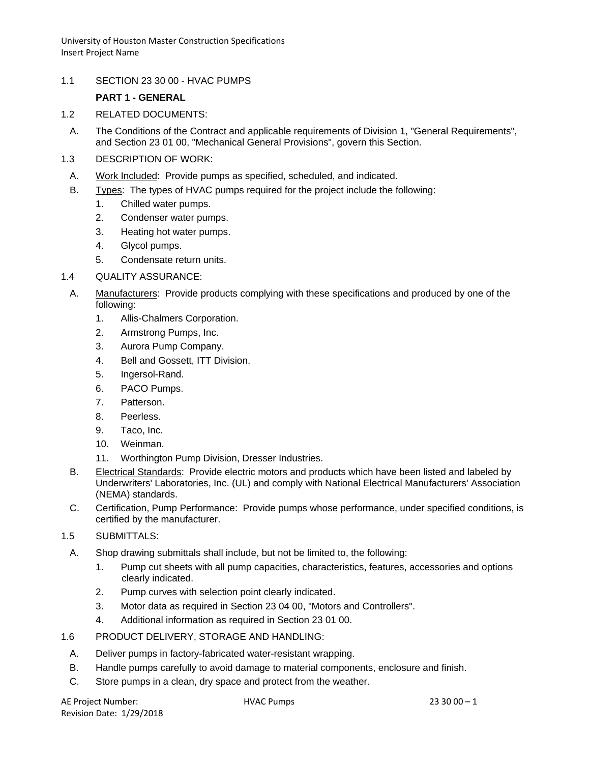1.1 SECTION 23 30 00 - HVAC PUMPS

# **PART 1 - GENERAL**

- 1.2 RELATED DOCUMENTS:
	- A. The Conditions of the Contract and applicable requirements of Division 1, "General Requirements", and Section 23 01 00, "Mechanical General Provisions", govern this Section.
- 1.3 DESCRIPTION OF WORK:
	- A. Work Included: Provide pumps as specified, scheduled, and indicated.
	- B. Types: The types of HVAC pumps required for the project include the following:
		- 1. Chilled water pumps.
		- 2. Condenser water pumps.
		- 3. Heating hot water pumps.
		- 4. Glycol pumps.
		- 5. Condensate return units.
- 1.4 QUALITY ASSURANCE:
	- A. Manufacturers: Provide products complying with these specifications and produced by one of the following:
		- 1. Allis-Chalmers Corporation.
		- 2. Armstrong Pumps, Inc.
		- 3. Aurora Pump Company.
		- 4. Bell and Gossett, ITT Division.
		- 5. Ingersol-Rand.
		- 6. PACO Pumps.
		- 7. Patterson.
		- 8. Peerless.
		- 9. Taco, Inc.
		- 10. Weinman.
		- 11. Worthington Pump Division, Dresser Industries.
	- B. Electrical Standards: Provide electric motors and products which have been listed and labeled by Underwriters' Laboratories, Inc. (UL) and comply with National Electrical Manufacturers' Association (NEMA) standards.
- C. Certification, Pump Performance: Provide pumps whose performance, under specified conditions, is certified by the manufacturer.
- 1.5 SUBMITTALS:
	- A. Shop drawing submittals shall include, but not be limited to, the following:
		- 1. Pump cut sheets with all pump capacities, characteristics, features, accessories and options clearly indicated.
		- 2. Pump curves with selection point clearly indicated.
		- 3. Motor data as required in Section 23 04 00, "Motors and Controllers".
		- 4. Additional information as required in Section 23 01 00.
- 1.6 PRODUCT DELIVERY, STORAGE AND HANDLING:
	- A. Deliver pumps in factory-fabricated water-resistant wrapping.
	- B. Handle pumps carefully to avoid damage to material components, enclosure and finish.
	- C. Store pumps in a clean, dry space and protect from the weather.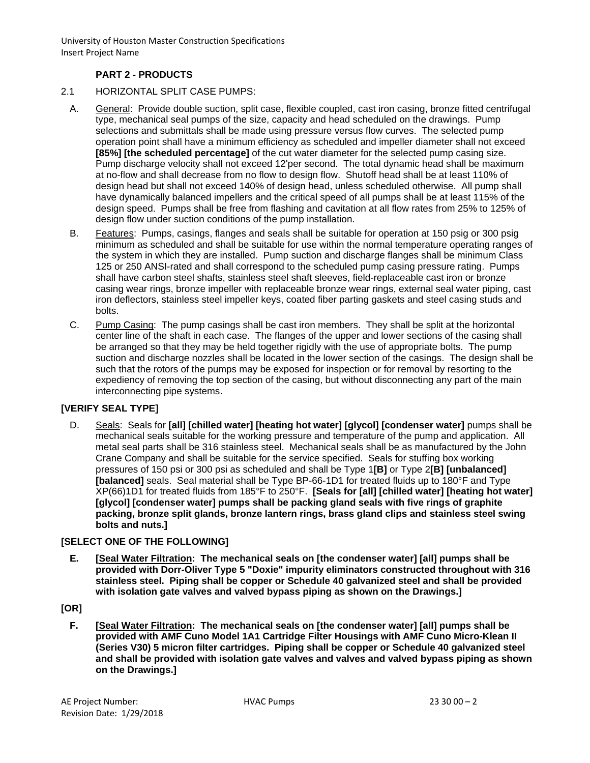# **PART 2 - PRODUCTS**

- 2.1 HORIZONTAL SPLIT CASE PUMPS:
- A. General: Provide double suction, split case, flexible coupled, cast iron casing, bronze fitted centrifugal type, mechanical seal pumps of the size, capacity and head scheduled on the drawings. Pump selections and submittals shall be made using pressure versus flow curves. The selected pump operation point shall have a minimum efficiency as scheduled and impeller diameter shall not exceed **[85%] [the scheduled percentage]** of the cut water diameter for the selected pump casing size. Pump discharge velocity shall not exceed 12'per second. The total dynamic head shall be maximum at no-flow and shall decrease from no flow to design flow. Shutoff head shall be at least 110% of design head but shall not exceed 140% of design head, unless scheduled otherwise. All pump shall have dynamically balanced impellers and the critical speed of all pumps shall be at least 115% of the design speed. Pumps shall be free from flashing and cavitation at all flow rates from 25% to 125% of design flow under suction conditions of the pump installation.
- B. Features: Pumps, casings, flanges and seals shall be suitable for operation at 150 psig or 300 psig minimum as scheduled and shall be suitable for use within the normal temperature operating ranges of the system in which they are installed. Pump suction and discharge flanges shall be minimum Class 125 or 250 ANSI-rated and shall correspond to the scheduled pump casing pressure rating. Pumps shall have carbon steel shafts, stainless steel shaft sleeves, field-replaceable cast iron or bronze casing wear rings, bronze impeller with replaceable bronze wear rings, external seal water piping, cast iron deflectors, stainless steel impeller keys, coated fiber parting gaskets and steel casing studs and bolts.
- C. Pump Casing: The pump casings shall be cast iron members. They shall be split at the horizontal center line of the shaft in each case. The flanges of the upper and lower sections of the casing shall be arranged so that they may be held together rigidly with the use of appropriate bolts. The pump suction and discharge nozzles shall be located in the lower section of the casings. The design shall be such that the rotors of the pumps may be exposed for inspection or for removal by resorting to the expediency of removing the top section of the casing, but without disconnecting any part of the main interconnecting pipe systems.

### **[VERIFY SEAL TYPE]**

D. Seals: Seals for **[all] [chilled water] [heating hot water] [glycol] [condenser water]** pumps shall be mechanical seals suitable for the working pressure and temperature of the pump and application. All metal seal parts shall be 316 stainless steel. Mechanical seals shall be as manufactured by the John Crane Company and shall be suitable for the service specified. Seals for stuffing box working pressures of 150 psi or 300 psi as scheduled and shall be Type 1**[B]** or Type 2**[B] [unbalanced] [balanced]** seals. Seal material shall be Type BP-66-1D1 for treated fluids up to 180°F and Type XP(66)1D1 for treated fluids from 185°F to 250°F. **[Seals for [all] [chilled water] [heating hot water] [glycol] [condenser water] pumps shall be packing gland seals with five rings of graphite packing, bronze split glands, bronze lantern rings, brass gland clips and stainless steel swing bolts and nuts.]**

### **[SELECT ONE OF THE FOLLOWING]**

**E. [Seal Water Filtration: The mechanical seals on [the condenser water] [all] pumps shall be provided with Dorr-Oliver Type 5 "Doxie" impurity eliminators constructed throughout with 316 stainless steel. Piping shall be copper or Schedule 40 galvanized steel and shall be provided with isolation gate valves and valved bypass piping as shown on the Drawings.]**

### **[OR]**

**F. [Seal Water Filtration: The mechanical seals on [the condenser water] [all] pumps shall be provided with AMF Cuno Model 1A1 Cartridge Filter Housings with AMF Cuno Micro-Klean II (Series V30) 5 micron filter cartridges. Piping shall be copper or Schedule 40 galvanized steel and shall be provided with isolation gate valves and valves and valved bypass piping as shown on the Drawings.]**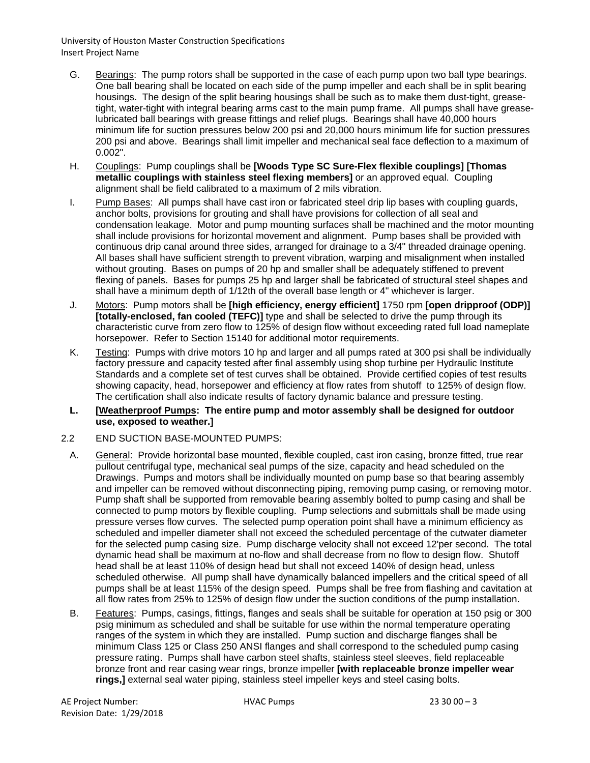- G. Bearings: The pump rotors shall be supported in the case of each pump upon two ball type bearings. One ball bearing shall be located on each side of the pump impeller and each shall be in split bearing housings. The design of the split bearing housings shall be such as to make them dust-tight, greasetight, water-tight with integral bearing arms cast to the main pump frame. All pumps shall have greaselubricated ball bearings with grease fittings and relief plugs. Bearings shall have 40,000 hours minimum life for suction pressures below 200 psi and 20,000 hours minimum life for suction pressures 200 psi and above. Bearings shall limit impeller and mechanical seal face deflection to a maximum of 0.002".
- H. Couplings: Pump couplings shall be **[Woods Type SC Sure-Flex flexible couplings] [Thomas metallic couplings with stainless steel flexing members]** or an approved equal. Coupling alignment shall be field calibrated to a maximum of 2 mils vibration.
- I. Pump Bases: All pumps shall have cast iron or fabricated steel drip lip bases with coupling guards, anchor bolts, provisions for grouting and shall have provisions for collection of all seal and condensation leakage. Motor and pump mounting surfaces shall be machined and the motor mounting shall include provisions for horizontal movement and alignment. Pump bases shall be provided with continuous drip canal around three sides, arranged for drainage to a 3/4" threaded drainage opening. All bases shall have sufficient strength to prevent vibration, warping and misalignment when installed without grouting. Bases on pumps of 20 hp and smaller shall be adequately stiffened to prevent flexing of panels. Bases for pumps 25 hp and larger shall be fabricated of structural steel shapes and shall have a minimum depth of 1/12th of the overall base length or 4" whichever is larger.
- J. Motors: Pump motors shall be **[high efficiency, energy efficient]** 1750 rpm **[open dripproof (ODP)] [totally-enclosed, fan cooled (TEFC)]** type and shall be selected to drive the pump through its characteristic curve from zero flow to 125% of design flow without exceeding rated full load nameplate horsepower. Refer to Section 15140 for additional motor requirements.
- K. Testing: Pumps with drive motors 10 hp and larger and all pumps rated at 300 psi shall be individually factory pressure and capacity tested after final assembly using shop turbine per Hydraulic Institute Standards and a complete set of test curves shall be obtained. Provide certified copies of test results showing capacity, head, horsepower and efficiency at flow rates from shutoff to 125% of design flow. The certification shall also indicate results of factory dynamic balance and pressure testing.

#### **L. [Weatherproof Pumps: The entire pump and motor assembly shall be designed for outdoor use, exposed to weather.]**

### 2.2 END SUCTION BASE-MOUNTED PUMPS:

- A. General: Provide horizontal base mounted, flexible coupled, cast iron casing, bronze fitted, true rear pullout centrifugal type, mechanical seal pumps of the size, capacity and head scheduled on the Drawings. Pumps and motors shall be individually mounted on pump base so that bearing assembly and impeller can be removed without disconnecting piping, removing pump casing, or removing motor. Pump shaft shall be supported from removable bearing assembly bolted to pump casing and shall be connected to pump motors by flexible coupling. Pump selections and submittals shall be made using pressure verses flow curves. The selected pump operation point shall have a minimum efficiency as scheduled and impeller diameter shall not exceed the scheduled percentage of the cutwater diameter for the selected pump casing size. Pump discharge velocity shall not exceed 12'per second. The total dynamic head shall be maximum at no-flow and shall decrease from no flow to design flow. Shutoff head shall be at least 110% of design head but shall not exceed 140% of design head, unless scheduled otherwise. All pump shall have dynamically balanced impellers and the critical speed of all pumps shall be at least 115% of the design speed. Pumps shall be free from flashing and cavitation at all flow rates from 25% to 125% of design flow under the suction conditions of the pump installation.
- B. Features: Pumps, casings, fittings, flanges and seals shall be suitable for operation at 150 psig or 300 psig minimum as scheduled and shall be suitable for use within the normal temperature operating ranges of the system in which they are installed. Pump suction and discharge flanges shall be minimum Class 125 or Class 250 ANSI flanges and shall correspond to the scheduled pump casing pressure rating. Pumps shall have carbon steel shafts, stainless steel sleeves, field replaceable bronze front and rear casing wear rings, bronze impeller **[with replaceable bronze impeller wear rings,]** external seal water piping, stainless steel impeller keys and steel casing bolts.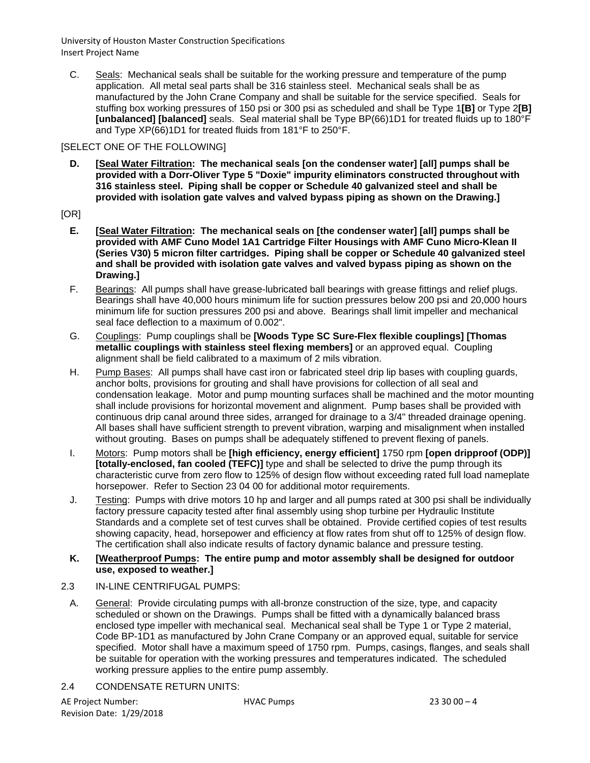C. Seals: Mechanical seals shall be suitable for the working pressure and temperature of the pump application. All metal seal parts shall be 316 stainless steel. Mechanical seals shall be as manufactured by the John Crane Company and shall be suitable for the service specified. Seals for stuffing box working pressures of 150 psi or 300 psi as scheduled and shall be Type 1**[B]** or Type 2**[B] [unbalanced] [balanced]** seals. Seal material shall be Type BP(66)1D1 for treated fluids up to 180°F and Type XP(66)1D1 for treated fluids from 181°F to 250°F.

### [SELECT ONE OF THE FOLLOWING]

**D. [Seal Water Filtration: The mechanical seals [on the condenser water] [all] pumps shall be provided with a Dorr-Oliver Type 5 "Doxie" impurity eliminators constructed throughout with 316 stainless steel. Piping shall be copper or Schedule 40 galvanized steel and shall be provided with isolation gate valves and valved bypass piping as shown on the Drawing.]**

## [OR]

- **E. [Seal Water Filtration: The mechanical seals on [the condenser water] [all] pumps shall be provided with AMF Cuno Model 1A1 Cartridge Filter Housings with AMF Cuno Micro-Klean II (Series V30) 5 micron filter cartridges. Piping shall be copper or Schedule 40 galvanized steel and shall be provided with isolation gate valves and valved bypass piping as shown on the Drawing.]**
- F. Bearings: All pumps shall have grease-lubricated ball bearings with grease fittings and relief plugs. Bearings shall have 40,000 hours minimum life for suction pressures below 200 psi and 20,000 hours minimum life for suction pressures 200 psi and above. Bearings shall limit impeller and mechanical seal face deflection to a maximum of 0.002".
- G. Couplings: Pump couplings shall be **[Woods Type SC Sure-Flex flexible couplings] [Thomas metallic couplings with stainless steel flexing members]** or an approved equal. Coupling alignment shall be field calibrated to a maximum of 2 mils vibration.
- H. Pump Bases: All pumps shall have cast iron or fabricated steel drip lip bases with coupling guards, anchor bolts, provisions for grouting and shall have provisions for collection of all seal and condensation leakage. Motor and pump mounting surfaces shall be machined and the motor mounting shall include provisions for horizontal movement and alignment. Pump bases shall be provided with continuous drip canal around three sides, arranged for drainage to a 3/4" threaded drainage opening. All bases shall have sufficient strength to prevent vibration, warping and misalignment when installed without grouting. Bases on pumps shall be adequately stiffened to prevent flexing of panels.
- I. Motors: Pump motors shall be **[high efficiency, energy efficient]** 1750 rpm **[open dripproof (ODP)] [totally-enclosed, fan cooled (TEFC)]** type and shall be selected to drive the pump through its characteristic curve from zero flow to 125% of design flow without exceeding rated full load nameplate horsepower. Refer to Section 23 04 00 for additional motor requirements.
- J. Testing: Pumps with drive motors 10 hp and larger and all pumps rated at 300 psi shall be individually factory pressure capacity tested after final assembly using shop turbine per Hydraulic Institute Standards and a complete set of test curves shall be obtained. Provide certified copies of test results showing capacity, head, horsepower and efficiency at flow rates from shut off to 125% of design flow. The certification shall also indicate results of factory dynamic balance and pressure testing.

#### **K. [Weatherproof Pumps: The entire pump and motor assembly shall be designed for outdoor use, exposed to weather.]**

- 2.3 IN-LINE CENTRIFUGAL PUMPS:
- A. General: Provide circulating pumps with all-bronze construction of the size, type, and capacity scheduled or shown on the Drawings. Pumps shall be fitted with a dynamically balanced brass enclosed type impeller with mechanical seal. Mechanical seal shall be Type 1 or Type 2 material, Code BP-1D1 as manufactured by John Crane Company or an approved equal, suitable for service specified. Motor shall have a maximum speed of 1750 rpm. Pumps, casings, flanges, and seals shall be suitable for operation with the working pressures and temperatures indicated. The scheduled working pressure applies to the entire pump assembly.
- 2.4 CONDENSATE RETURN UNITS: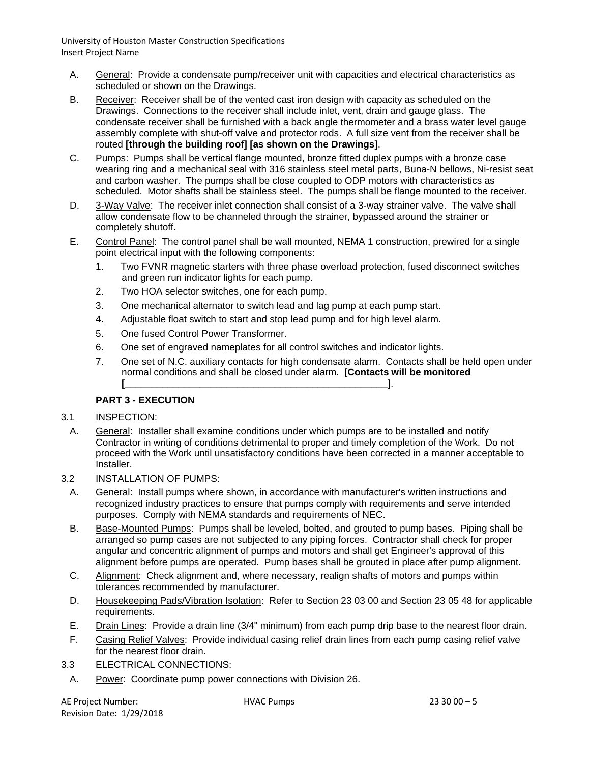- A. General: Provide a condensate pump/receiver unit with capacities and electrical characteristics as scheduled or shown on the Drawings.
- B. Receiver: Receiver shall be of the vented cast iron design with capacity as scheduled on the Drawings. Connections to the receiver shall include inlet, vent, drain and gauge glass. The condensate receiver shall be furnished with a back angle thermometer and a brass water level gauge assembly complete with shut-off valve and protector rods. A full size vent from the receiver shall be routed **[through the building roof] [as shown on the Drawings]**.
- C. Pumps: Pumps shall be vertical flange mounted, bronze fitted duplex pumps with a bronze case wearing ring and a mechanical seal with 316 stainless steel metal parts, Buna-N bellows, Ni-resist seat and carbon washer. The pumps shall be close coupled to ODP motors with characteristics as scheduled. Motor shafts shall be stainless steel. The pumps shall be flange mounted to the receiver.
- D. 3-Way Valve: The receiver inlet connection shall consist of a 3-way strainer valve. The valve shall allow condensate flow to be channeled through the strainer, bypassed around the strainer or completely shutoff.
- E. Control Panel: The control panel shall be wall mounted, NEMA 1 construction, prewired for a single point electrical input with the following components:
	- 1. Two FVNR magnetic starters with three phase overload protection, fused disconnect switches and green run indicator lights for each pump.
	- 2. Two HOA selector switches, one for each pump.
	- 3. One mechanical alternator to switch lead and lag pump at each pump start.
	- 4. Adjustable float switch to start and stop lead pump and for high level alarm.
	- 5. One fused Control Power Transformer.
	- 6. One set of engraved nameplates for all control switches and indicator lights.
	- 7. One set of N.C. auxiliary contacts for high condensate alarm. Contacts shall be held open under normal conditions and shall be closed under alarm. **[Contacts will be monitored [\_\_\_\_\_\_\_\_\_\_\_\_\_\_\_\_\_\_\_\_\_\_\_\_\_\_\_\_\_\_\_\_\_\_\_\_\_\_\_\_\_\_\_\_\_\_\_\_\_]**.

# **PART 3 - EXECUTION**

### 3.1 INSPECTION:

- A. General: Installer shall examine conditions under which pumps are to be installed and notify Contractor in writing of conditions detrimental to proper and timely completion of the Work. Do not proceed with the Work until unsatisfactory conditions have been corrected in a manner acceptable to Installer.
- 3.2 INSTALLATION OF PUMPS:
	- A. General: Install pumps where shown, in accordance with manufacturer's written instructions and recognized industry practices to ensure that pumps comply with requirements and serve intended purposes. Comply with NEMA standards and requirements of NEC.
	- B. Base-Mounted Pumps: Pumps shall be leveled, bolted, and grouted to pump bases. Piping shall be arranged so pump cases are not subjected to any piping forces. Contractor shall check for proper angular and concentric alignment of pumps and motors and shall get Engineer's approval of this alignment before pumps are operated. Pump bases shall be grouted in place after pump alignment.
	- C. Alignment: Check alignment and, where necessary, realign shafts of motors and pumps within tolerances recommended by manufacturer.
	- D. Housekeeping Pads/Vibration Isolation: Refer to Section 23 03 00 and Section 23 05 48 for applicable requirements.
	- E. Drain Lines: Provide a drain line (3/4" minimum) from each pump drip base to the nearest floor drain.
	- F. Casing Relief Valves: Provide individual casing relief drain lines from each pump casing relief valve for the nearest floor drain.
- 3.3 ELECTRICAL CONNECTIONS:
	- A. Power: Coordinate pump power connections with Division 26.